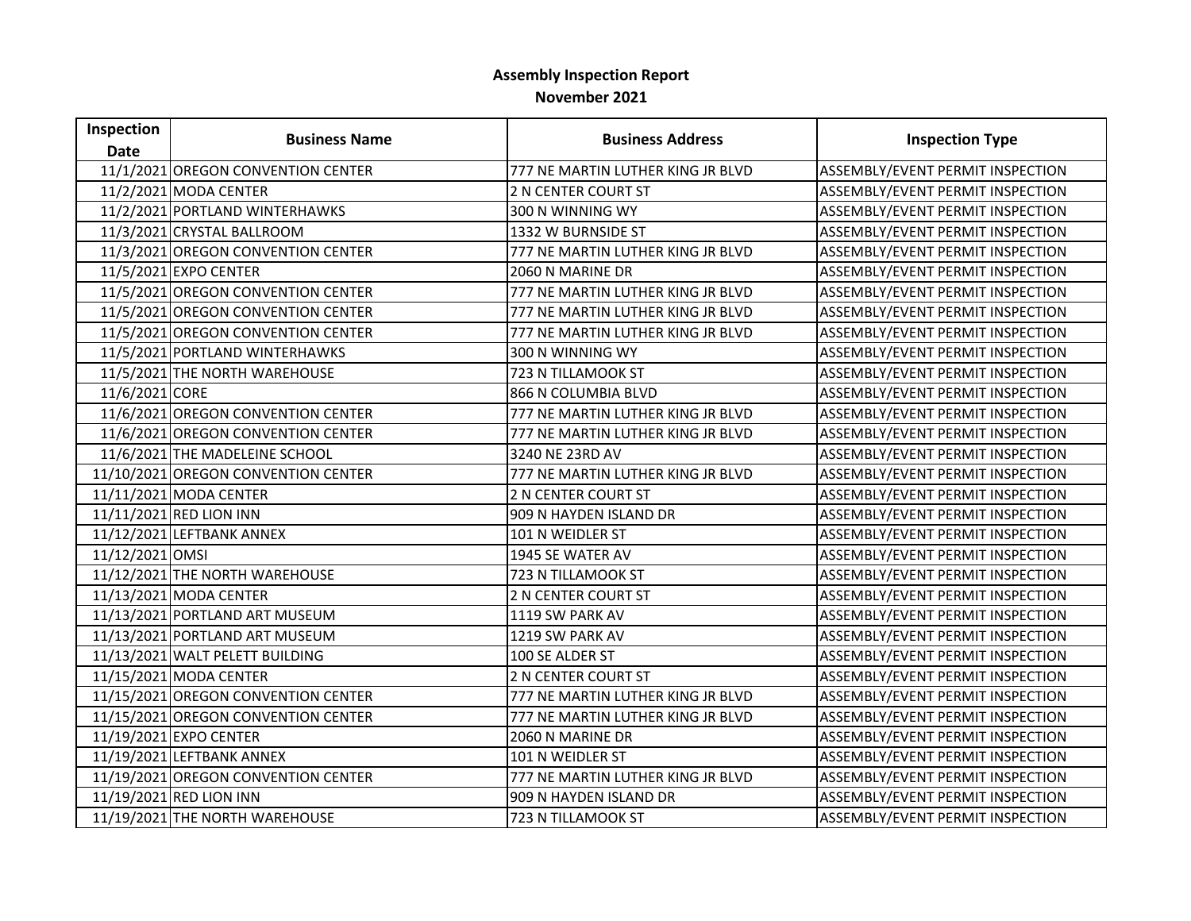## **Assembly Inspection Report November 2021**

| Inspection      | <b>Business Name</b>                | <b>Business Address</b>           | <b>Inspection Type</b>           |
|-----------------|-------------------------------------|-----------------------------------|----------------------------------|
| <b>Date</b>     |                                     |                                   |                                  |
|                 | 11/1/2021 OREGON CONVENTION CENTER  | 777 NE MARTIN LUTHER KING JR BLVD | ASSEMBLY/EVENT PERMIT INSPECTION |
|                 | 11/2/2021 MODA CENTER               | <b>2 N CENTER COURT ST</b>        | ASSEMBLY/EVENT PERMIT INSPECTION |
|                 | 11/2/2021 PORTLAND WINTERHAWKS      | 300 N WINNING WY                  | ASSEMBLY/EVENT PERMIT INSPECTION |
|                 | 11/3/2021 CRYSTAL BALLROOM          | 1332 W BURNSIDE ST                | ASSEMBLY/EVENT PERMIT INSPECTION |
|                 | 11/3/2021 OREGON CONVENTION CENTER  | 777 NE MARTIN LUTHER KING JR BLVD | ASSEMBLY/EVENT PERMIT INSPECTION |
|                 | 11/5/2021 EXPO CENTER               | 2060 N MARINE DR                  | ASSEMBLY/EVENT PERMIT INSPECTION |
|                 | 11/5/2021 OREGON CONVENTION CENTER  | 777 NE MARTIN LUTHER KING JR BLVD | ASSEMBLY/EVENT PERMIT INSPECTION |
|                 | 11/5/2021 OREGON CONVENTION CENTER  | 777 NE MARTIN LUTHER KING JR BLVD | ASSEMBLY/EVENT PERMIT INSPECTION |
|                 | 11/5/2021 OREGON CONVENTION CENTER  | 777 NE MARTIN LUTHER KING JR BLVD | ASSEMBLY/EVENT PERMIT INSPECTION |
|                 | 11/5/2021 PORTLAND WINTERHAWKS      | 300 N WINNING WY                  | ASSEMBLY/EVENT PERMIT INSPECTION |
|                 | 11/5/2021 THE NORTH WAREHOUSE       | 723 N TILLAMOOK ST                | ASSEMBLY/EVENT PERMIT INSPECTION |
| 11/6/2021 CORE  |                                     | 866 N COLUMBIA BLVD               | ASSEMBLY/EVENT PERMIT INSPECTION |
|                 | 11/6/2021 OREGON CONVENTION CENTER  | 777 NE MARTIN LUTHER KING JR BLVD | ASSEMBLY/EVENT PERMIT INSPECTION |
|                 | 11/6/2021 OREGON CONVENTION CENTER  | 777 NE MARTIN LUTHER KING JR BLVD | ASSEMBLY/EVENT PERMIT INSPECTION |
|                 | 11/6/2021 THE MADELEINE SCHOOL      | 3240 NE 23RD AV                   | ASSEMBLY/EVENT PERMIT INSPECTION |
|                 | 11/10/2021 OREGON CONVENTION CENTER | 777 NE MARTIN LUTHER KING JR BLVD | ASSEMBLY/EVENT PERMIT INSPECTION |
|                 | 11/11/2021 MODA CENTER              | <b>2 N CENTER COURT ST</b>        | ASSEMBLY/EVENT PERMIT INSPECTION |
|                 | 11/11/2021 RED LION INN             | 909 N HAYDEN ISLAND DR            | ASSEMBLY/EVENT PERMIT INSPECTION |
|                 | 11/12/2021 LEFTBANK ANNEX           | 101 N WEIDLER ST                  | ASSEMBLY/EVENT PERMIT INSPECTION |
| 11/12/2021 OMSI |                                     | 1945 SE WATER AV                  | ASSEMBLY/EVENT PERMIT INSPECTION |
|                 | 11/12/2021 THE NORTH WAREHOUSE      | 723 N TILLAMOOK ST                | ASSEMBLY/EVENT PERMIT INSPECTION |
|                 | 11/13/2021 MODA CENTER              | 2 N CENTER COURT ST               | ASSEMBLY/EVENT PERMIT INSPECTION |
|                 | 11/13/2021 PORTLAND ART MUSEUM      | 1119 SW PARK AV                   | ASSEMBLY/EVENT PERMIT INSPECTION |
|                 | 11/13/2021 PORTLAND ART MUSEUM      | 1219 SW PARK AV                   | ASSEMBLY/EVENT PERMIT INSPECTION |
|                 | 11/13/2021 WALT PELETT BUILDING     | 100 SE ALDER ST                   | ASSEMBLY/EVENT PERMIT INSPECTION |
|                 | 11/15/2021 MODA CENTER              | 2 N CENTER COURT ST               | ASSEMBLY/EVENT PERMIT INSPECTION |
|                 | 11/15/2021 OREGON CONVENTION CENTER | 777 NE MARTIN LUTHER KING JR BLVD | ASSEMBLY/EVENT PERMIT INSPECTION |
|                 | 11/15/2021 OREGON CONVENTION CENTER | 777 NE MARTIN LUTHER KING JR BLVD | ASSEMBLY/EVENT PERMIT INSPECTION |
|                 | 11/19/2021 EXPO CENTER              | 2060 N MARINE DR                  | ASSEMBLY/EVENT PERMIT INSPECTION |
|                 | 11/19/2021 LEFTBANK ANNEX           | 101 N WEIDLER ST                  | ASSEMBLY/EVENT PERMIT INSPECTION |
|                 | 11/19/2021 OREGON CONVENTION CENTER | 777 NE MARTIN LUTHER KING JR BLVD | ASSEMBLY/EVENT PERMIT INSPECTION |
|                 | 11/19/2021 RED LION INN             | 909 N HAYDEN ISLAND DR            | ASSEMBLY/EVENT PERMIT INSPECTION |
|                 | 11/19/2021 THE NORTH WAREHOUSE      | 723 N TILLAMOOK ST                | ASSEMBLY/EVENT PERMIT INSPECTION |